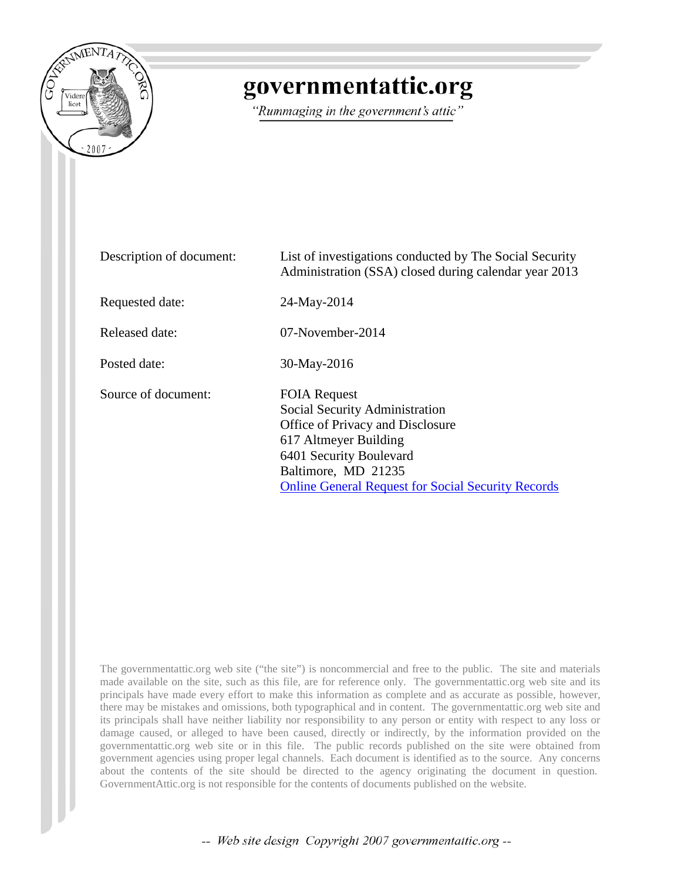

## governmentattic.org

"Rummaging in the government's attic"

| Description of document: | List of investigations conducted by The Social Security<br>Administration (SSA) closed during calendar year 2013                                                                                                                  |
|--------------------------|-----------------------------------------------------------------------------------------------------------------------------------------------------------------------------------------------------------------------------------|
| Requested date:          | 24-May-2014                                                                                                                                                                                                                       |
| Released date:           | $07$ -November-2014                                                                                                                                                                                                               |
| Posted date:             | 30-May-2016                                                                                                                                                                                                                       |
| Source of document:      | <b>FOIA Request</b><br>Social Security Administration<br>Office of Privacy and Disclosure<br>617 Altmeyer Building<br>6401 Security Boulevard<br>Baltimore, MD 21235<br><b>Online General Request for Social Security Records</b> |

The governmentattic.org web site ("the site") is noncommercial and free to the public. The site and materials made available on the site, such as this file, are for reference only. The governmentattic.org web site and its principals have made every effort to make this information as complete and as accurate as possible, however, there may be mistakes and omissions, both typographical and in content. The governmentattic.org web site and its principals shall have neither liability nor responsibility to any person or entity with respect to any loss or damage caused, or alleged to have been caused, directly or indirectly, by the information provided on the governmentattic.org web site or in this file. The public records published on the site were obtained from government agencies using proper legal channels. Each document is identified as to the source. Any concerns about the contents of the site should be directed to the agency originating the document in question. GovernmentAttic.org is not responsible for the contents of documents published on the website.

-- Web site design Copyright 2007 governmentattic.org --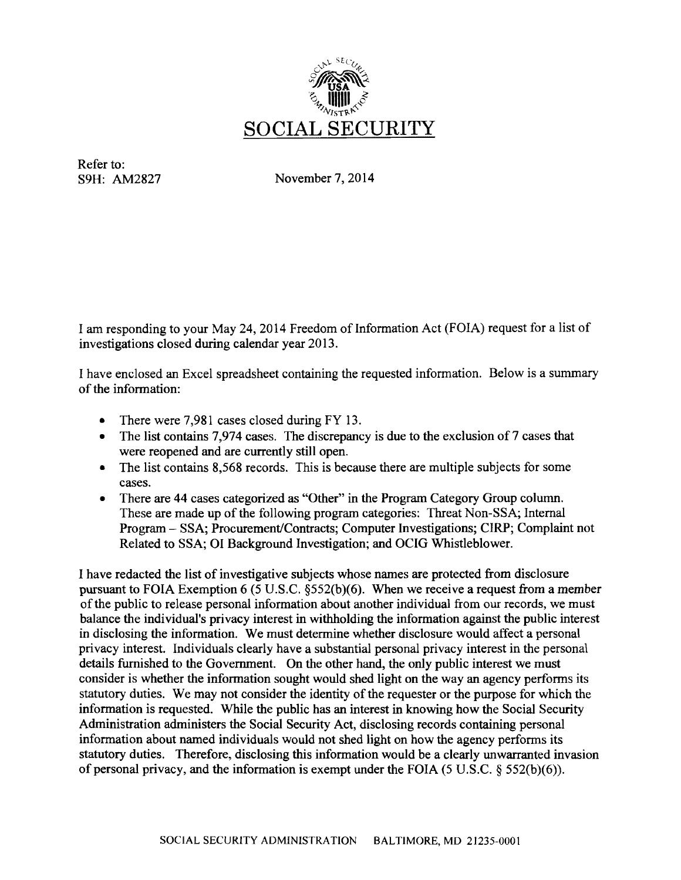

Refer to: S9H: AM2827

November 7, 2014

I am responding to your May 24, 2014 Freedom of Information Act (FOIA) request for a list of investigations closed during calendar year 2013.

I have enclosed an Excel spreadsheet containing the requested information. Below is a summary of the information:

- There were 7,981 cases closed during FY 13.
- The list contains 7,974 cases. The discrepancy is due to the exclusion of 7 cases that were reopened and are currently still open.
- The list contains 8,568 records. This is because there are multiple subjects for some cases.
- There are 44 cases categorized as "Other" in the Program Category Group column. These are made up of the following program categories: Threat Non-SSA; Internal Program - SSA; Procurement/Contracts; Computer Investigations; CIRP; Complaint not Related to SSA; 01 Background Investigation; and OCIG Whistleblower.

I have redacted the list of investigative subjects whose names are protected from disclosure pursuant to FOIA Exemption 6 (5 U.S.C. §552(b)(6). When we receive a request from a member of the public to release personal information about another individual from our records, we must balance the individual's privacy interest in withholding the information against the public interest in disclosing the information. We must determine whether disclosure would affect a personal privacy interest. Individuals clearly have a substantial personal privacy interest in the personal details furnished to the Government. On the other hand, the only public interest we must consider is whether the information sought would shed light on the way an agency performs its statutory duties. We may not consider the identity of the requester or the purpose for which the information is requested. While the public has an interest in knowing how the Social Security Administration administers the Social Security Act, disclosing records containing personal information about named individuals would not shed light on how the agency performs its statutory duties. Therefore, disclosing this information would be a clearly unwarranted invasion of personal privacy, and the information is exempt under the FOIA (5 U.S.C. § 552(b)(6)).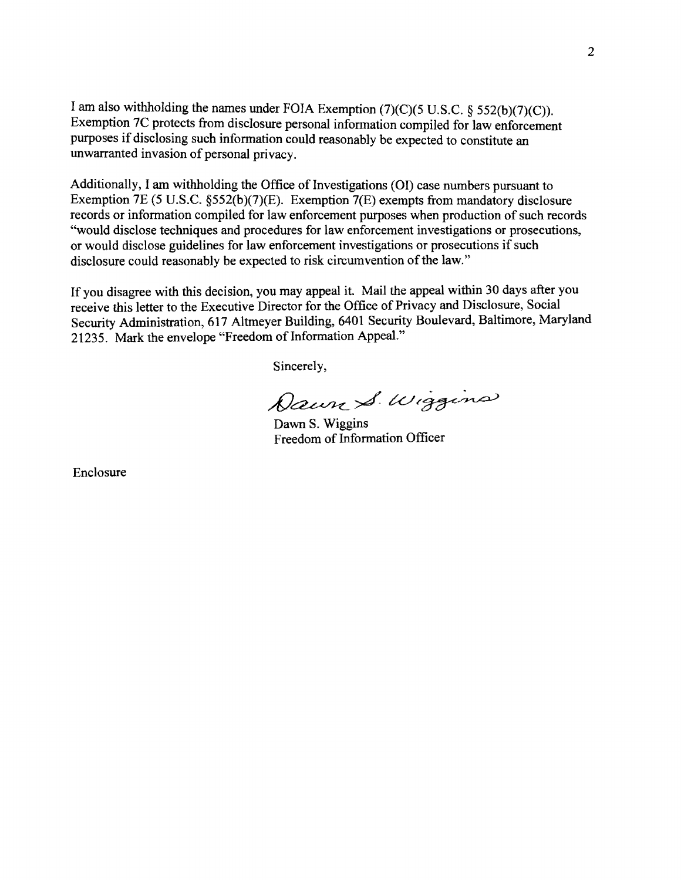I am also withholding the names under FOIA Exemption (7)(C)(5 U.S.C. § 552(b)(7)(C)). Exemption 7C protects from disclosure personal information compiled for law enforcement purposes if disclosing such information could reasonably be expected to constitute an unwarranted invasion of personal privacy.

Additionally, I am withholding the Office of Investigations (OI) case numbers pursuant to Exemption 7E (5 U.S.C. §552(b)(7)(E). Exemption 7(E) exempts from mandatory disclosure records or information compiled for law enforcement purposes when production of such records "would disclose techniques and procedures for law enforcement investigations or prosecutions, or would disclose guidelines for law enforcement investigations or prosecutions if such disclosure could reasonably be expected to risk circumvention of the law."

If you disagree with this decision, you may appeal it. Mail the appeal within 30 days after you receive this letter to the Executive Director for the Office of Privacy and Disclosure, Social Security Administration, 617 Altmeyer Building, 6401 Security Boulevard, Baltimore, Maryland 21235. Mark the envelope "Freedom of Information Appeal."

Sincerely,

Dawn S. Wiggins

Dawn S. Wiggins Freedom of Information Officer

Enclosure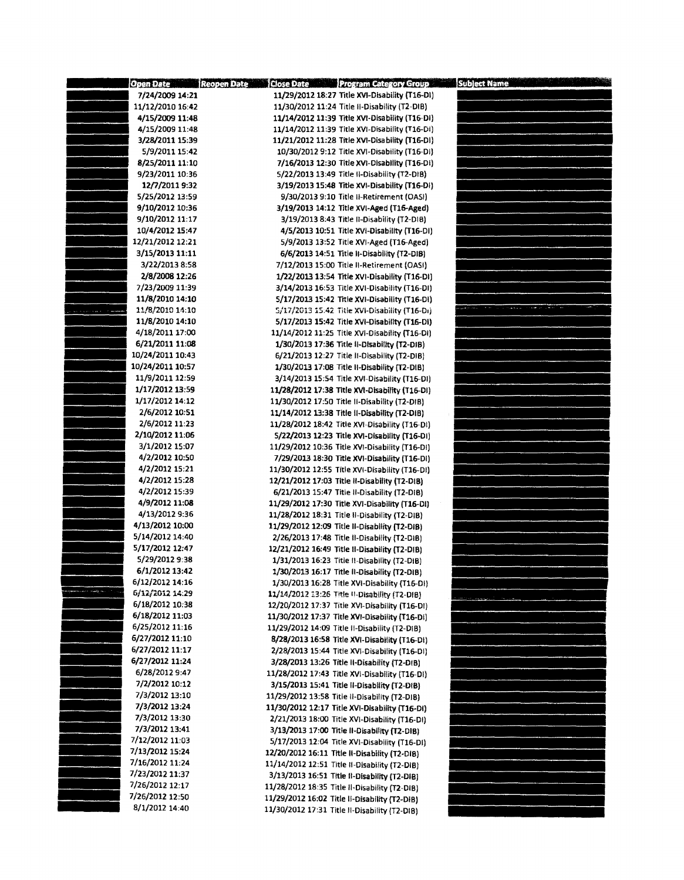| 7/24/2009 14:21<br>11/29/2012 18:27 Title XVI-Disability (T16-DI)<br>11/12/2010 16:42<br>11/30/2012 11:24 Title II-Disability (T2-DIB)<br>4/15/2009 11:48<br>11/14/2012 11:39 Title XVI-Disability (T16-DI)<br>11/14/2012 11:39 Title XVI-Disability (T16-DI)<br>4/15/2009 11:48<br>11/21/2012 11:28 Title XVI-Disability (T16-DI)<br>3/28/2011 15:39<br>5/9/2011 15:42<br>10/30/2012 9:12 Title XVI-Disability (T16-Di)<br>8/25/2011 11:10<br>7/16/2013 12:30 Title XVI-Disability (T16-DI)<br>9/23/2011 10:36<br>5/22/2013 13:49 Title II-Disability (T2-DIB)<br>12/7/2011 9:32<br>3/19/2013 15:48 Title XVI-Disability (T16-DI)<br>5/25/2012 13:59<br>9/30/2013 9:10 Title II-Retirement (OASI)<br>9/10/2012 10:36<br>3/19/2013 14:12 Title XVI-Aged (T16-Aged)<br>9/10/2012 11:17<br>3/19/2013 8:43 Title II-Disability (T2-DIB)<br>10/4/2012 15:47<br>4/5/2013 10:51 Title XVI-Disability (T16-DI)<br>12/21/2012 12:21<br>5/9/2013 13:52 Title XVI-Aged (T16-Aged)<br>3/15/2013 11:11<br>6/6/2013 14:51 Title II-Disability (T2-DIB)<br>3/22/2013 8:58<br>7/12/2013 15:00 Title II-Retirement (OASI)<br>2/8/2008 12:26<br>1/22/2013 13:54 Title XVI-Disability (T16-DI)<br>7/23/2009 11:39<br>3/14/2013 16:53 Title XVI-Disability (T16-DI)<br>11/8/2010 14:10<br>5/17/2013 15:42 Title XVI-Disability (T16-DI)<br><b>The State</b><br>$\cdots$<br>11/8/2010 14:10<br>5/17/2013 15:42 Title XVI-Disability (T16-Di)<br><b>Contractor Contractor</b><br>11/8/2010 14:10<br>5/17/2013 15:42 Title XVI-Disability (T16-DI)<br>4/18/2011 17:00<br>11/14/2012 11:25 Title XVI-Disability (T16-DI)<br>6/21/2011 11:08<br>1/30/2013 17:36 Title II-Disability (T2-DIB)<br>10/24/2011 10:43<br>6/21/2013 12:27 Title II-Disability (T2-DIB)<br>10/24/2011 10:57<br>1/30/2013 17:08 Title II-Disability (T2-DIB)<br>11/9/2011 12:59<br>3/14/2013 15:54 Title XVI-Disability (T16-DI)<br>1/17/2012 13:59<br>11/28/2012 17:38 Title XVI-Disability (T16-DI)<br>1/17/2012 14:12<br>11/30/2012 17:50 Title II-Disability (T2-DIB)<br>2/6/2012 10:51<br>11/14/2012 13:38 Title il-Disability (T2-DIB)<br>2/6/2012 11:23<br>11/28/2012 18:42 Title XVI-Disability (T16-DI)<br>2/10/2012 11:06<br>5/22/2013 12:23 Title XVI-Disability (T16-DI)<br>3/1/2012 15:07<br>11/29/2012 10:36 Title XVI-Disability (T16-DI)<br>4/2/2012 10:50<br>7/29/2013 18:30 Title XVI-Disability (T16-DI)<br>4/2/2012 15:21<br>11/30/2012 12:55 Title XVI-Disability (T16-DI)<br>4/2/2012 15:28<br>12/21/2012 17:03 Title II-Disability (T2-DIB)<br>4/2/2012 15:39<br>6/21/2013 15:47 Title II-Disability (T2-DIB)<br>4/9/2012 11:08<br>11/29/2012 17:30 Title XVI-Disability (T16-DI)<br>4/13/2012 9:36<br>11/28/2012 18:31 Title II-Disability (T2-DIB)<br>4/13/2012 10:00<br>11/29/2012 12:09 Title II-Disability (T2-DIB)<br>5/14/2012 14:40<br>2/26/2013 17:48 Title II-Disability (T2-DIB)<br>5/17/2012 12:47<br>12/21/2012 16:49 Title Il-Disability (T2-DIB)<br>5/29/2012 9:38<br>1/31/2013 16:23 Title II-Disability (T2-DIB)<br>6/1/2012 13:42<br>1/30/2013 16:17 Title II-Disability (T2-DIB)<br>6/12/2012 14:16<br>1/30/2013 16:28 Title XVI-Disability (T16-DI)<br>6/12/2012 14:29<br>11/14/2012 13:26 Title II-Disability (T2-DIB)<br>6/18/2012 10:38<br>12/20/2012 17:37 Title XVI-Disability (T16-DI)<br>6/18/2012 11:03<br>11/30/2012 17:37 Title XVI-Disability (T16-DI)<br>6/25/2012 11:16<br>11/29/2012 14:09 Title II-Disability (T2-DIB)<br>6/27/2012 11:10<br>8/28/2013 16:58 Title XVI-Disability (T16-DI)<br>6/27/2012 11:17<br>2/28/2013 15:44 Title XVI-Disability (T16-DI)<br>6/27/2012 11:24<br>3/28/2013 13:26 Title II-Disability (T2-DIB)<br>6/28/2012 9:47<br>11/28/2012 17:43 Title XVI-Disability (T16-DI)<br>7/2/2012 10:12<br>3/15/2013 15:41 Title Il-Disability (T2-DIB)<br>7/3/2012 13:10<br>11/29/2012 13:58 Title II-Disability (T2-DIB)<br>7/3/2012 13:24<br>11/30/2012 12:17 Title XVI-Disability (T16-DI)<br>7/3/2012 13:30<br>2/21/2013 18:00 Title XVI-Disability (T16-DI)<br>7/3/2012 13:41<br>3/13/2013 17:00 Title II-Disability (T2-DIB)<br>7/12/2012 11:03<br>5/17/2013 12:04 Title XVI-Disability (T16-DI)<br>7/13/2012 15:24<br>12/20/2012 16:11 Title II-Disability (T2-DIB)<br>7/16/2012 11:24<br>11/14/2012 12:51 Title II-Disability (T2-DIB)<br>7/23/2012 11:37<br>3/13/2013 16:51 Title II-Disability (T2-DIB)<br>7/26/2012 12:17<br>11/28/2012 18:35 Title Il-Disability (T2-DIB)<br>7/26/2012 12:50<br>11/29/2012 16:02 Title II-Disability (T2-DIB)<br>8/1/2012 14:40<br>11/30/2012 17:31 Title II-Disability (T2-DIB) | Open Date Reopen Date | Close Date Program Category Group | <b>Subject Name</b> |
|---------------------------------------------------------------------------------------------------------------------------------------------------------------------------------------------------------------------------------------------------------------------------------------------------------------------------------------------------------------------------------------------------------------------------------------------------------------------------------------------------------------------------------------------------------------------------------------------------------------------------------------------------------------------------------------------------------------------------------------------------------------------------------------------------------------------------------------------------------------------------------------------------------------------------------------------------------------------------------------------------------------------------------------------------------------------------------------------------------------------------------------------------------------------------------------------------------------------------------------------------------------------------------------------------------------------------------------------------------------------------------------------------------------------------------------------------------------------------------------------------------------------------------------------------------------------------------------------------------------------------------------------------------------------------------------------------------------------------------------------------------------------------------------------------------------------------------------------------------------------------------------------------------------------------------------------------------------------------------------------------------------------------------------------------------------------------------------------------------------------------------------------------------------------------------------------------------------------------------------------------------------------------------------------------------------------------------------------------------------------------------------------------------------------------------------------------------------------------------------------------------------------------------------------------------------------------------------------------------------------------------------------------------------------------------------------------------------------------------------------------------------------------------------------------------------------------------------------------------------------------------------------------------------------------------------------------------------------------------------------------------------------------------------------------------------------------------------------------------------------------------------------------------------------------------------------------------------------------------------------------------------------------------------------------------------------------------------------------------------------------------------------------------------------------------------------------------------------------------------------------------------------------------------------------------------------------------------------------------------------------------------------------------------------------------------------------------------------------------------------------------------------------------------------------------------------------------------------------------------------------------------------------------------------------------------------------------------------------------------------------------------------------------------------------------------------------------------------------------------------------------------------------------------------------------------------------------------------------------------------------------------------------------------------------------------------------------------------------------------------------------------------------------------------------------------------------------------------------------------------------------------------------------------------------------|-----------------------|-----------------------------------|---------------------|
|                                                                                                                                                                                                                                                                                                                                                                                                                                                                                                                                                                                                                                                                                                                                                                                                                                                                                                                                                                                                                                                                                                                                                                                                                                                                                                                                                                                                                                                                                                                                                                                                                                                                                                                                                                                                                                                                                                                                                                                                                                                                                                                                                                                                                                                                                                                                                                                                                                                                                                                                                                                                                                                                                                                                                                                                                                                                                                                                                                                                                                                                                                                                                                                                                                                                                                                                                                                                                                                                                                                                                                                                                                                                                                                                                                                                                                                                                                                                                                                                                                                                                                                                                                                                                                                                                                                                                                                                                                                                                                                                                         |                       |                                   |                     |
|                                                                                                                                                                                                                                                                                                                                                                                                                                                                                                                                                                                                                                                                                                                                                                                                                                                                                                                                                                                                                                                                                                                                                                                                                                                                                                                                                                                                                                                                                                                                                                                                                                                                                                                                                                                                                                                                                                                                                                                                                                                                                                                                                                                                                                                                                                                                                                                                                                                                                                                                                                                                                                                                                                                                                                                                                                                                                                                                                                                                                                                                                                                                                                                                                                                                                                                                                                                                                                                                                                                                                                                                                                                                                                                                                                                                                                                                                                                                                                                                                                                                                                                                                                                                                                                                                                                                                                                                                                                                                                                                                         |                       |                                   |                     |
|                                                                                                                                                                                                                                                                                                                                                                                                                                                                                                                                                                                                                                                                                                                                                                                                                                                                                                                                                                                                                                                                                                                                                                                                                                                                                                                                                                                                                                                                                                                                                                                                                                                                                                                                                                                                                                                                                                                                                                                                                                                                                                                                                                                                                                                                                                                                                                                                                                                                                                                                                                                                                                                                                                                                                                                                                                                                                                                                                                                                                                                                                                                                                                                                                                                                                                                                                                                                                                                                                                                                                                                                                                                                                                                                                                                                                                                                                                                                                                                                                                                                                                                                                                                                                                                                                                                                                                                                                                                                                                                                                         |                       |                                   |                     |
|                                                                                                                                                                                                                                                                                                                                                                                                                                                                                                                                                                                                                                                                                                                                                                                                                                                                                                                                                                                                                                                                                                                                                                                                                                                                                                                                                                                                                                                                                                                                                                                                                                                                                                                                                                                                                                                                                                                                                                                                                                                                                                                                                                                                                                                                                                                                                                                                                                                                                                                                                                                                                                                                                                                                                                                                                                                                                                                                                                                                                                                                                                                                                                                                                                                                                                                                                                                                                                                                                                                                                                                                                                                                                                                                                                                                                                                                                                                                                                                                                                                                                                                                                                                                                                                                                                                                                                                                                                                                                                                                                         |                       |                                   |                     |
|                                                                                                                                                                                                                                                                                                                                                                                                                                                                                                                                                                                                                                                                                                                                                                                                                                                                                                                                                                                                                                                                                                                                                                                                                                                                                                                                                                                                                                                                                                                                                                                                                                                                                                                                                                                                                                                                                                                                                                                                                                                                                                                                                                                                                                                                                                                                                                                                                                                                                                                                                                                                                                                                                                                                                                                                                                                                                                                                                                                                                                                                                                                                                                                                                                                                                                                                                                                                                                                                                                                                                                                                                                                                                                                                                                                                                                                                                                                                                                                                                                                                                                                                                                                                                                                                                                                                                                                                                                                                                                                                                         |                       |                                   |                     |
|                                                                                                                                                                                                                                                                                                                                                                                                                                                                                                                                                                                                                                                                                                                                                                                                                                                                                                                                                                                                                                                                                                                                                                                                                                                                                                                                                                                                                                                                                                                                                                                                                                                                                                                                                                                                                                                                                                                                                                                                                                                                                                                                                                                                                                                                                                                                                                                                                                                                                                                                                                                                                                                                                                                                                                                                                                                                                                                                                                                                                                                                                                                                                                                                                                                                                                                                                                                                                                                                                                                                                                                                                                                                                                                                                                                                                                                                                                                                                                                                                                                                                                                                                                                                                                                                                                                                                                                                                                                                                                                                                         |                       |                                   |                     |
|                                                                                                                                                                                                                                                                                                                                                                                                                                                                                                                                                                                                                                                                                                                                                                                                                                                                                                                                                                                                                                                                                                                                                                                                                                                                                                                                                                                                                                                                                                                                                                                                                                                                                                                                                                                                                                                                                                                                                                                                                                                                                                                                                                                                                                                                                                                                                                                                                                                                                                                                                                                                                                                                                                                                                                                                                                                                                                                                                                                                                                                                                                                                                                                                                                                                                                                                                                                                                                                                                                                                                                                                                                                                                                                                                                                                                                                                                                                                                                                                                                                                                                                                                                                                                                                                                                                                                                                                                                                                                                                                                         |                       |                                   |                     |
|                                                                                                                                                                                                                                                                                                                                                                                                                                                                                                                                                                                                                                                                                                                                                                                                                                                                                                                                                                                                                                                                                                                                                                                                                                                                                                                                                                                                                                                                                                                                                                                                                                                                                                                                                                                                                                                                                                                                                                                                                                                                                                                                                                                                                                                                                                                                                                                                                                                                                                                                                                                                                                                                                                                                                                                                                                                                                                                                                                                                                                                                                                                                                                                                                                                                                                                                                                                                                                                                                                                                                                                                                                                                                                                                                                                                                                                                                                                                                                                                                                                                                                                                                                                                                                                                                                                                                                                                                                                                                                                                                         |                       |                                   |                     |
|                                                                                                                                                                                                                                                                                                                                                                                                                                                                                                                                                                                                                                                                                                                                                                                                                                                                                                                                                                                                                                                                                                                                                                                                                                                                                                                                                                                                                                                                                                                                                                                                                                                                                                                                                                                                                                                                                                                                                                                                                                                                                                                                                                                                                                                                                                                                                                                                                                                                                                                                                                                                                                                                                                                                                                                                                                                                                                                                                                                                                                                                                                                                                                                                                                                                                                                                                                                                                                                                                                                                                                                                                                                                                                                                                                                                                                                                                                                                                                                                                                                                                                                                                                                                                                                                                                                                                                                                                                                                                                                                                         |                       |                                   |                     |
|                                                                                                                                                                                                                                                                                                                                                                                                                                                                                                                                                                                                                                                                                                                                                                                                                                                                                                                                                                                                                                                                                                                                                                                                                                                                                                                                                                                                                                                                                                                                                                                                                                                                                                                                                                                                                                                                                                                                                                                                                                                                                                                                                                                                                                                                                                                                                                                                                                                                                                                                                                                                                                                                                                                                                                                                                                                                                                                                                                                                                                                                                                                                                                                                                                                                                                                                                                                                                                                                                                                                                                                                                                                                                                                                                                                                                                                                                                                                                                                                                                                                                                                                                                                                                                                                                                                                                                                                                                                                                                                                                         |                       |                                   |                     |
|                                                                                                                                                                                                                                                                                                                                                                                                                                                                                                                                                                                                                                                                                                                                                                                                                                                                                                                                                                                                                                                                                                                                                                                                                                                                                                                                                                                                                                                                                                                                                                                                                                                                                                                                                                                                                                                                                                                                                                                                                                                                                                                                                                                                                                                                                                                                                                                                                                                                                                                                                                                                                                                                                                                                                                                                                                                                                                                                                                                                                                                                                                                                                                                                                                                                                                                                                                                                                                                                                                                                                                                                                                                                                                                                                                                                                                                                                                                                                                                                                                                                                                                                                                                                                                                                                                                                                                                                                                                                                                                                                         |                       |                                   |                     |
|                                                                                                                                                                                                                                                                                                                                                                                                                                                                                                                                                                                                                                                                                                                                                                                                                                                                                                                                                                                                                                                                                                                                                                                                                                                                                                                                                                                                                                                                                                                                                                                                                                                                                                                                                                                                                                                                                                                                                                                                                                                                                                                                                                                                                                                                                                                                                                                                                                                                                                                                                                                                                                                                                                                                                                                                                                                                                                                                                                                                                                                                                                                                                                                                                                                                                                                                                                                                                                                                                                                                                                                                                                                                                                                                                                                                                                                                                                                                                                                                                                                                                                                                                                                                                                                                                                                                                                                                                                                                                                                                                         |                       |                                   |                     |
|                                                                                                                                                                                                                                                                                                                                                                                                                                                                                                                                                                                                                                                                                                                                                                                                                                                                                                                                                                                                                                                                                                                                                                                                                                                                                                                                                                                                                                                                                                                                                                                                                                                                                                                                                                                                                                                                                                                                                                                                                                                                                                                                                                                                                                                                                                                                                                                                                                                                                                                                                                                                                                                                                                                                                                                                                                                                                                                                                                                                                                                                                                                                                                                                                                                                                                                                                                                                                                                                                                                                                                                                                                                                                                                                                                                                                                                                                                                                                                                                                                                                                                                                                                                                                                                                                                                                                                                                                                                                                                                                                         |                       |                                   |                     |
|                                                                                                                                                                                                                                                                                                                                                                                                                                                                                                                                                                                                                                                                                                                                                                                                                                                                                                                                                                                                                                                                                                                                                                                                                                                                                                                                                                                                                                                                                                                                                                                                                                                                                                                                                                                                                                                                                                                                                                                                                                                                                                                                                                                                                                                                                                                                                                                                                                                                                                                                                                                                                                                                                                                                                                                                                                                                                                                                                                                                                                                                                                                                                                                                                                                                                                                                                                                                                                                                                                                                                                                                                                                                                                                                                                                                                                                                                                                                                                                                                                                                                                                                                                                                                                                                                                                                                                                                                                                                                                                                                         |                       |                                   |                     |
|                                                                                                                                                                                                                                                                                                                                                                                                                                                                                                                                                                                                                                                                                                                                                                                                                                                                                                                                                                                                                                                                                                                                                                                                                                                                                                                                                                                                                                                                                                                                                                                                                                                                                                                                                                                                                                                                                                                                                                                                                                                                                                                                                                                                                                                                                                                                                                                                                                                                                                                                                                                                                                                                                                                                                                                                                                                                                                                                                                                                                                                                                                                                                                                                                                                                                                                                                                                                                                                                                                                                                                                                                                                                                                                                                                                                                                                                                                                                                                                                                                                                                                                                                                                                                                                                                                                                                                                                                                                                                                                                                         |                       |                                   |                     |
|                                                                                                                                                                                                                                                                                                                                                                                                                                                                                                                                                                                                                                                                                                                                                                                                                                                                                                                                                                                                                                                                                                                                                                                                                                                                                                                                                                                                                                                                                                                                                                                                                                                                                                                                                                                                                                                                                                                                                                                                                                                                                                                                                                                                                                                                                                                                                                                                                                                                                                                                                                                                                                                                                                                                                                                                                                                                                                                                                                                                                                                                                                                                                                                                                                                                                                                                                                                                                                                                                                                                                                                                                                                                                                                                                                                                                                                                                                                                                                                                                                                                                                                                                                                                                                                                                                                                                                                                                                                                                                                                                         |                       |                                   |                     |
|                                                                                                                                                                                                                                                                                                                                                                                                                                                                                                                                                                                                                                                                                                                                                                                                                                                                                                                                                                                                                                                                                                                                                                                                                                                                                                                                                                                                                                                                                                                                                                                                                                                                                                                                                                                                                                                                                                                                                                                                                                                                                                                                                                                                                                                                                                                                                                                                                                                                                                                                                                                                                                                                                                                                                                                                                                                                                                                                                                                                                                                                                                                                                                                                                                                                                                                                                                                                                                                                                                                                                                                                                                                                                                                                                                                                                                                                                                                                                                                                                                                                                                                                                                                                                                                                                                                                                                                                                                                                                                                                                         |                       |                                   |                     |
|                                                                                                                                                                                                                                                                                                                                                                                                                                                                                                                                                                                                                                                                                                                                                                                                                                                                                                                                                                                                                                                                                                                                                                                                                                                                                                                                                                                                                                                                                                                                                                                                                                                                                                                                                                                                                                                                                                                                                                                                                                                                                                                                                                                                                                                                                                                                                                                                                                                                                                                                                                                                                                                                                                                                                                                                                                                                                                                                                                                                                                                                                                                                                                                                                                                                                                                                                                                                                                                                                                                                                                                                                                                                                                                                                                                                                                                                                                                                                                                                                                                                                                                                                                                                                                                                                                                                                                                                                                                                                                                                                         |                       |                                   |                     |
|                                                                                                                                                                                                                                                                                                                                                                                                                                                                                                                                                                                                                                                                                                                                                                                                                                                                                                                                                                                                                                                                                                                                                                                                                                                                                                                                                                                                                                                                                                                                                                                                                                                                                                                                                                                                                                                                                                                                                                                                                                                                                                                                                                                                                                                                                                                                                                                                                                                                                                                                                                                                                                                                                                                                                                                                                                                                                                                                                                                                                                                                                                                                                                                                                                                                                                                                                                                                                                                                                                                                                                                                                                                                                                                                                                                                                                                                                                                                                                                                                                                                                                                                                                                                                                                                                                                                                                                                                                                                                                                                                         |                       |                                   |                     |
|                                                                                                                                                                                                                                                                                                                                                                                                                                                                                                                                                                                                                                                                                                                                                                                                                                                                                                                                                                                                                                                                                                                                                                                                                                                                                                                                                                                                                                                                                                                                                                                                                                                                                                                                                                                                                                                                                                                                                                                                                                                                                                                                                                                                                                                                                                                                                                                                                                                                                                                                                                                                                                                                                                                                                                                                                                                                                                                                                                                                                                                                                                                                                                                                                                                                                                                                                                                                                                                                                                                                                                                                                                                                                                                                                                                                                                                                                                                                                                                                                                                                                                                                                                                                                                                                                                                                                                                                                                                                                                                                                         |                       |                                   |                     |
|                                                                                                                                                                                                                                                                                                                                                                                                                                                                                                                                                                                                                                                                                                                                                                                                                                                                                                                                                                                                                                                                                                                                                                                                                                                                                                                                                                                                                                                                                                                                                                                                                                                                                                                                                                                                                                                                                                                                                                                                                                                                                                                                                                                                                                                                                                                                                                                                                                                                                                                                                                                                                                                                                                                                                                                                                                                                                                                                                                                                                                                                                                                                                                                                                                                                                                                                                                                                                                                                                                                                                                                                                                                                                                                                                                                                                                                                                                                                                                                                                                                                                                                                                                                                                                                                                                                                                                                                                                                                                                                                                         |                       |                                   |                     |
|                                                                                                                                                                                                                                                                                                                                                                                                                                                                                                                                                                                                                                                                                                                                                                                                                                                                                                                                                                                                                                                                                                                                                                                                                                                                                                                                                                                                                                                                                                                                                                                                                                                                                                                                                                                                                                                                                                                                                                                                                                                                                                                                                                                                                                                                                                                                                                                                                                                                                                                                                                                                                                                                                                                                                                                                                                                                                                                                                                                                                                                                                                                                                                                                                                                                                                                                                                                                                                                                                                                                                                                                                                                                                                                                                                                                                                                                                                                                                                                                                                                                                                                                                                                                                                                                                                                                                                                                                                                                                                                                                         |                       |                                   |                     |
|                                                                                                                                                                                                                                                                                                                                                                                                                                                                                                                                                                                                                                                                                                                                                                                                                                                                                                                                                                                                                                                                                                                                                                                                                                                                                                                                                                                                                                                                                                                                                                                                                                                                                                                                                                                                                                                                                                                                                                                                                                                                                                                                                                                                                                                                                                                                                                                                                                                                                                                                                                                                                                                                                                                                                                                                                                                                                                                                                                                                                                                                                                                                                                                                                                                                                                                                                                                                                                                                                                                                                                                                                                                                                                                                                                                                                                                                                                                                                                                                                                                                                                                                                                                                                                                                                                                                                                                                                                                                                                                                                         |                       |                                   |                     |
|                                                                                                                                                                                                                                                                                                                                                                                                                                                                                                                                                                                                                                                                                                                                                                                                                                                                                                                                                                                                                                                                                                                                                                                                                                                                                                                                                                                                                                                                                                                                                                                                                                                                                                                                                                                                                                                                                                                                                                                                                                                                                                                                                                                                                                                                                                                                                                                                                                                                                                                                                                                                                                                                                                                                                                                                                                                                                                                                                                                                                                                                                                                                                                                                                                                                                                                                                                                                                                                                                                                                                                                                                                                                                                                                                                                                                                                                                                                                                                                                                                                                                                                                                                                                                                                                                                                                                                                                                                                                                                                                                         |                       |                                   |                     |
|                                                                                                                                                                                                                                                                                                                                                                                                                                                                                                                                                                                                                                                                                                                                                                                                                                                                                                                                                                                                                                                                                                                                                                                                                                                                                                                                                                                                                                                                                                                                                                                                                                                                                                                                                                                                                                                                                                                                                                                                                                                                                                                                                                                                                                                                                                                                                                                                                                                                                                                                                                                                                                                                                                                                                                                                                                                                                                                                                                                                                                                                                                                                                                                                                                                                                                                                                                                                                                                                                                                                                                                                                                                                                                                                                                                                                                                                                                                                                                                                                                                                                                                                                                                                                                                                                                                                                                                                                                                                                                                                                         |                       |                                   |                     |
|                                                                                                                                                                                                                                                                                                                                                                                                                                                                                                                                                                                                                                                                                                                                                                                                                                                                                                                                                                                                                                                                                                                                                                                                                                                                                                                                                                                                                                                                                                                                                                                                                                                                                                                                                                                                                                                                                                                                                                                                                                                                                                                                                                                                                                                                                                                                                                                                                                                                                                                                                                                                                                                                                                                                                                                                                                                                                                                                                                                                                                                                                                                                                                                                                                                                                                                                                                                                                                                                                                                                                                                                                                                                                                                                                                                                                                                                                                                                                                                                                                                                                                                                                                                                                                                                                                                                                                                                                                                                                                                                                         |                       |                                   |                     |
|                                                                                                                                                                                                                                                                                                                                                                                                                                                                                                                                                                                                                                                                                                                                                                                                                                                                                                                                                                                                                                                                                                                                                                                                                                                                                                                                                                                                                                                                                                                                                                                                                                                                                                                                                                                                                                                                                                                                                                                                                                                                                                                                                                                                                                                                                                                                                                                                                                                                                                                                                                                                                                                                                                                                                                                                                                                                                                                                                                                                                                                                                                                                                                                                                                                                                                                                                                                                                                                                                                                                                                                                                                                                                                                                                                                                                                                                                                                                                                                                                                                                                                                                                                                                                                                                                                                                                                                                                                                                                                                                                         |                       |                                   |                     |
|                                                                                                                                                                                                                                                                                                                                                                                                                                                                                                                                                                                                                                                                                                                                                                                                                                                                                                                                                                                                                                                                                                                                                                                                                                                                                                                                                                                                                                                                                                                                                                                                                                                                                                                                                                                                                                                                                                                                                                                                                                                                                                                                                                                                                                                                                                                                                                                                                                                                                                                                                                                                                                                                                                                                                                                                                                                                                                                                                                                                                                                                                                                                                                                                                                                                                                                                                                                                                                                                                                                                                                                                                                                                                                                                                                                                                                                                                                                                                                                                                                                                                                                                                                                                                                                                                                                                                                                                                                                                                                                                                         |                       |                                   |                     |
|                                                                                                                                                                                                                                                                                                                                                                                                                                                                                                                                                                                                                                                                                                                                                                                                                                                                                                                                                                                                                                                                                                                                                                                                                                                                                                                                                                                                                                                                                                                                                                                                                                                                                                                                                                                                                                                                                                                                                                                                                                                                                                                                                                                                                                                                                                                                                                                                                                                                                                                                                                                                                                                                                                                                                                                                                                                                                                                                                                                                                                                                                                                                                                                                                                                                                                                                                                                                                                                                                                                                                                                                                                                                                                                                                                                                                                                                                                                                                                                                                                                                                                                                                                                                                                                                                                                                                                                                                                                                                                                                                         |                       |                                   |                     |
|                                                                                                                                                                                                                                                                                                                                                                                                                                                                                                                                                                                                                                                                                                                                                                                                                                                                                                                                                                                                                                                                                                                                                                                                                                                                                                                                                                                                                                                                                                                                                                                                                                                                                                                                                                                                                                                                                                                                                                                                                                                                                                                                                                                                                                                                                                                                                                                                                                                                                                                                                                                                                                                                                                                                                                                                                                                                                                                                                                                                                                                                                                                                                                                                                                                                                                                                                                                                                                                                                                                                                                                                                                                                                                                                                                                                                                                                                                                                                                                                                                                                                                                                                                                                                                                                                                                                                                                                                                                                                                                                                         |                       |                                   |                     |
|                                                                                                                                                                                                                                                                                                                                                                                                                                                                                                                                                                                                                                                                                                                                                                                                                                                                                                                                                                                                                                                                                                                                                                                                                                                                                                                                                                                                                                                                                                                                                                                                                                                                                                                                                                                                                                                                                                                                                                                                                                                                                                                                                                                                                                                                                                                                                                                                                                                                                                                                                                                                                                                                                                                                                                                                                                                                                                                                                                                                                                                                                                                                                                                                                                                                                                                                                                                                                                                                                                                                                                                                                                                                                                                                                                                                                                                                                                                                                                                                                                                                                                                                                                                                                                                                                                                                                                                                                                                                                                                                                         |                       |                                   |                     |
|                                                                                                                                                                                                                                                                                                                                                                                                                                                                                                                                                                                                                                                                                                                                                                                                                                                                                                                                                                                                                                                                                                                                                                                                                                                                                                                                                                                                                                                                                                                                                                                                                                                                                                                                                                                                                                                                                                                                                                                                                                                                                                                                                                                                                                                                                                                                                                                                                                                                                                                                                                                                                                                                                                                                                                                                                                                                                                                                                                                                                                                                                                                                                                                                                                                                                                                                                                                                                                                                                                                                                                                                                                                                                                                                                                                                                                                                                                                                                                                                                                                                                                                                                                                                                                                                                                                                                                                                                                                                                                                                                         |                       |                                   |                     |
|                                                                                                                                                                                                                                                                                                                                                                                                                                                                                                                                                                                                                                                                                                                                                                                                                                                                                                                                                                                                                                                                                                                                                                                                                                                                                                                                                                                                                                                                                                                                                                                                                                                                                                                                                                                                                                                                                                                                                                                                                                                                                                                                                                                                                                                                                                                                                                                                                                                                                                                                                                                                                                                                                                                                                                                                                                                                                                                                                                                                                                                                                                                                                                                                                                                                                                                                                                                                                                                                                                                                                                                                                                                                                                                                                                                                                                                                                                                                                                                                                                                                                                                                                                                                                                                                                                                                                                                                                                                                                                                                                         |                       |                                   |                     |
|                                                                                                                                                                                                                                                                                                                                                                                                                                                                                                                                                                                                                                                                                                                                                                                                                                                                                                                                                                                                                                                                                                                                                                                                                                                                                                                                                                                                                                                                                                                                                                                                                                                                                                                                                                                                                                                                                                                                                                                                                                                                                                                                                                                                                                                                                                                                                                                                                                                                                                                                                                                                                                                                                                                                                                                                                                                                                                                                                                                                                                                                                                                                                                                                                                                                                                                                                                                                                                                                                                                                                                                                                                                                                                                                                                                                                                                                                                                                                                                                                                                                                                                                                                                                                                                                                                                                                                                                                                                                                                                                                         |                       |                                   |                     |
|                                                                                                                                                                                                                                                                                                                                                                                                                                                                                                                                                                                                                                                                                                                                                                                                                                                                                                                                                                                                                                                                                                                                                                                                                                                                                                                                                                                                                                                                                                                                                                                                                                                                                                                                                                                                                                                                                                                                                                                                                                                                                                                                                                                                                                                                                                                                                                                                                                                                                                                                                                                                                                                                                                                                                                                                                                                                                                                                                                                                                                                                                                                                                                                                                                                                                                                                                                                                                                                                                                                                                                                                                                                                                                                                                                                                                                                                                                                                                                                                                                                                                                                                                                                                                                                                                                                                                                                                                                                                                                                                                         |                       |                                   |                     |
|                                                                                                                                                                                                                                                                                                                                                                                                                                                                                                                                                                                                                                                                                                                                                                                                                                                                                                                                                                                                                                                                                                                                                                                                                                                                                                                                                                                                                                                                                                                                                                                                                                                                                                                                                                                                                                                                                                                                                                                                                                                                                                                                                                                                                                                                                                                                                                                                                                                                                                                                                                                                                                                                                                                                                                                                                                                                                                                                                                                                                                                                                                                                                                                                                                                                                                                                                                                                                                                                                                                                                                                                                                                                                                                                                                                                                                                                                                                                                                                                                                                                                                                                                                                                                                                                                                                                                                                                                                                                                                                                                         |                       |                                   |                     |
|                                                                                                                                                                                                                                                                                                                                                                                                                                                                                                                                                                                                                                                                                                                                                                                                                                                                                                                                                                                                                                                                                                                                                                                                                                                                                                                                                                                                                                                                                                                                                                                                                                                                                                                                                                                                                                                                                                                                                                                                                                                                                                                                                                                                                                                                                                                                                                                                                                                                                                                                                                                                                                                                                                                                                                                                                                                                                                                                                                                                                                                                                                                                                                                                                                                                                                                                                                                                                                                                                                                                                                                                                                                                                                                                                                                                                                                                                                                                                                                                                                                                                                                                                                                                                                                                                                                                                                                                                                                                                                                                                         |                       |                                   |                     |
|                                                                                                                                                                                                                                                                                                                                                                                                                                                                                                                                                                                                                                                                                                                                                                                                                                                                                                                                                                                                                                                                                                                                                                                                                                                                                                                                                                                                                                                                                                                                                                                                                                                                                                                                                                                                                                                                                                                                                                                                                                                                                                                                                                                                                                                                                                                                                                                                                                                                                                                                                                                                                                                                                                                                                                                                                                                                                                                                                                                                                                                                                                                                                                                                                                                                                                                                                                                                                                                                                                                                                                                                                                                                                                                                                                                                                                                                                                                                                                                                                                                                                                                                                                                                                                                                                                                                                                                                                                                                                                                                                         |                       |                                   |                     |
|                                                                                                                                                                                                                                                                                                                                                                                                                                                                                                                                                                                                                                                                                                                                                                                                                                                                                                                                                                                                                                                                                                                                                                                                                                                                                                                                                                                                                                                                                                                                                                                                                                                                                                                                                                                                                                                                                                                                                                                                                                                                                                                                                                                                                                                                                                                                                                                                                                                                                                                                                                                                                                                                                                                                                                                                                                                                                                                                                                                                                                                                                                                                                                                                                                                                                                                                                                                                                                                                                                                                                                                                                                                                                                                                                                                                                                                                                                                                                                                                                                                                                                                                                                                                                                                                                                                                                                                                                                                                                                                                                         |                       |                                   |                     |
|                                                                                                                                                                                                                                                                                                                                                                                                                                                                                                                                                                                                                                                                                                                                                                                                                                                                                                                                                                                                                                                                                                                                                                                                                                                                                                                                                                                                                                                                                                                                                                                                                                                                                                                                                                                                                                                                                                                                                                                                                                                                                                                                                                                                                                                                                                                                                                                                                                                                                                                                                                                                                                                                                                                                                                                                                                                                                                                                                                                                                                                                                                                                                                                                                                                                                                                                                                                                                                                                                                                                                                                                                                                                                                                                                                                                                                                                                                                                                                                                                                                                                                                                                                                                                                                                                                                                                                                                                                                                                                                                                         |                       |                                   |                     |
|                                                                                                                                                                                                                                                                                                                                                                                                                                                                                                                                                                                                                                                                                                                                                                                                                                                                                                                                                                                                                                                                                                                                                                                                                                                                                                                                                                                                                                                                                                                                                                                                                                                                                                                                                                                                                                                                                                                                                                                                                                                                                                                                                                                                                                                                                                                                                                                                                                                                                                                                                                                                                                                                                                                                                                                                                                                                                                                                                                                                                                                                                                                                                                                                                                                                                                                                                                                                                                                                                                                                                                                                                                                                                                                                                                                                                                                                                                                                                                                                                                                                                                                                                                                                                                                                                                                                                                                                                                                                                                                                                         |                       |                                   |                     |
|                                                                                                                                                                                                                                                                                                                                                                                                                                                                                                                                                                                                                                                                                                                                                                                                                                                                                                                                                                                                                                                                                                                                                                                                                                                                                                                                                                                                                                                                                                                                                                                                                                                                                                                                                                                                                                                                                                                                                                                                                                                                                                                                                                                                                                                                                                                                                                                                                                                                                                                                                                                                                                                                                                                                                                                                                                                                                                                                                                                                                                                                                                                                                                                                                                                                                                                                                                                                                                                                                                                                                                                                                                                                                                                                                                                                                                                                                                                                                                                                                                                                                                                                                                                                                                                                                                                                                                                                                                                                                                                                                         |                       |                                   |                     |
|                                                                                                                                                                                                                                                                                                                                                                                                                                                                                                                                                                                                                                                                                                                                                                                                                                                                                                                                                                                                                                                                                                                                                                                                                                                                                                                                                                                                                                                                                                                                                                                                                                                                                                                                                                                                                                                                                                                                                                                                                                                                                                                                                                                                                                                                                                                                                                                                                                                                                                                                                                                                                                                                                                                                                                                                                                                                                                                                                                                                                                                                                                                                                                                                                                                                                                                                                                                                                                                                                                                                                                                                                                                                                                                                                                                                                                                                                                                                                                                                                                                                                                                                                                                                                                                                                                                                                                                                                                                                                                                                                         |                       |                                   |                     |
|                                                                                                                                                                                                                                                                                                                                                                                                                                                                                                                                                                                                                                                                                                                                                                                                                                                                                                                                                                                                                                                                                                                                                                                                                                                                                                                                                                                                                                                                                                                                                                                                                                                                                                                                                                                                                                                                                                                                                                                                                                                                                                                                                                                                                                                                                                                                                                                                                                                                                                                                                                                                                                                                                                                                                                                                                                                                                                                                                                                                                                                                                                                                                                                                                                                                                                                                                                                                                                                                                                                                                                                                                                                                                                                                                                                                                                                                                                                                                                                                                                                                                                                                                                                                                                                                                                                                                                                                                                                                                                                                                         |                       |                                   |                     |
|                                                                                                                                                                                                                                                                                                                                                                                                                                                                                                                                                                                                                                                                                                                                                                                                                                                                                                                                                                                                                                                                                                                                                                                                                                                                                                                                                                                                                                                                                                                                                                                                                                                                                                                                                                                                                                                                                                                                                                                                                                                                                                                                                                                                                                                                                                                                                                                                                                                                                                                                                                                                                                                                                                                                                                                                                                                                                                                                                                                                                                                                                                                                                                                                                                                                                                                                                                                                                                                                                                                                                                                                                                                                                                                                                                                                                                                                                                                                                                                                                                                                                                                                                                                                                                                                                                                                                                                                                                                                                                                                                         |                       |                                   |                     |
|                                                                                                                                                                                                                                                                                                                                                                                                                                                                                                                                                                                                                                                                                                                                                                                                                                                                                                                                                                                                                                                                                                                                                                                                                                                                                                                                                                                                                                                                                                                                                                                                                                                                                                                                                                                                                                                                                                                                                                                                                                                                                                                                                                                                                                                                                                                                                                                                                                                                                                                                                                                                                                                                                                                                                                                                                                                                                                                                                                                                                                                                                                                                                                                                                                                                                                                                                                                                                                                                                                                                                                                                                                                                                                                                                                                                                                                                                                                                                                                                                                                                                                                                                                                                                                                                                                                                                                                                                                                                                                                                                         |                       |                                   |                     |
|                                                                                                                                                                                                                                                                                                                                                                                                                                                                                                                                                                                                                                                                                                                                                                                                                                                                                                                                                                                                                                                                                                                                                                                                                                                                                                                                                                                                                                                                                                                                                                                                                                                                                                                                                                                                                                                                                                                                                                                                                                                                                                                                                                                                                                                                                                                                                                                                                                                                                                                                                                                                                                                                                                                                                                                                                                                                                                                                                                                                                                                                                                                                                                                                                                                                                                                                                                                                                                                                                                                                                                                                                                                                                                                                                                                                                                                                                                                                                                                                                                                                                                                                                                                                                                                                                                                                                                                                                                                                                                                                                         |                       |                                   |                     |
|                                                                                                                                                                                                                                                                                                                                                                                                                                                                                                                                                                                                                                                                                                                                                                                                                                                                                                                                                                                                                                                                                                                                                                                                                                                                                                                                                                                                                                                                                                                                                                                                                                                                                                                                                                                                                                                                                                                                                                                                                                                                                                                                                                                                                                                                                                                                                                                                                                                                                                                                                                                                                                                                                                                                                                                                                                                                                                                                                                                                                                                                                                                                                                                                                                                                                                                                                                                                                                                                                                                                                                                                                                                                                                                                                                                                                                                                                                                                                                                                                                                                                                                                                                                                                                                                                                                                                                                                                                                                                                                                                         |                       |                                   |                     |
|                                                                                                                                                                                                                                                                                                                                                                                                                                                                                                                                                                                                                                                                                                                                                                                                                                                                                                                                                                                                                                                                                                                                                                                                                                                                                                                                                                                                                                                                                                                                                                                                                                                                                                                                                                                                                                                                                                                                                                                                                                                                                                                                                                                                                                                                                                                                                                                                                                                                                                                                                                                                                                                                                                                                                                                                                                                                                                                                                                                                                                                                                                                                                                                                                                                                                                                                                                                                                                                                                                                                                                                                                                                                                                                                                                                                                                                                                                                                                                                                                                                                                                                                                                                                                                                                                                                                                                                                                                                                                                                                                         |                       |                                   |                     |
|                                                                                                                                                                                                                                                                                                                                                                                                                                                                                                                                                                                                                                                                                                                                                                                                                                                                                                                                                                                                                                                                                                                                                                                                                                                                                                                                                                                                                                                                                                                                                                                                                                                                                                                                                                                                                                                                                                                                                                                                                                                                                                                                                                                                                                                                                                                                                                                                                                                                                                                                                                                                                                                                                                                                                                                                                                                                                                                                                                                                                                                                                                                                                                                                                                                                                                                                                                                                                                                                                                                                                                                                                                                                                                                                                                                                                                                                                                                                                                                                                                                                                                                                                                                                                                                                                                                                                                                                                                                                                                                                                         |                       |                                   |                     |
|                                                                                                                                                                                                                                                                                                                                                                                                                                                                                                                                                                                                                                                                                                                                                                                                                                                                                                                                                                                                                                                                                                                                                                                                                                                                                                                                                                                                                                                                                                                                                                                                                                                                                                                                                                                                                                                                                                                                                                                                                                                                                                                                                                                                                                                                                                                                                                                                                                                                                                                                                                                                                                                                                                                                                                                                                                                                                                                                                                                                                                                                                                                                                                                                                                                                                                                                                                                                                                                                                                                                                                                                                                                                                                                                                                                                                                                                                                                                                                                                                                                                                                                                                                                                                                                                                                                                                                                                                                                                                                                                                         |                       |                                   |                     |
|                                                                                                                                                                                                                                                                                                                                                                                                                                                                                                                                                                                                                                                                                                                                                                                                                                                                                                                                                                                                                                                                                                                                                                                                                                                                                                                                                                                                                                                                                                                                                                                                                                                                                                                                                                                                                                                                                                                                                                                                                                                                                                                                                                                                                                                                                                                                                                                                                                                                                                                                                                                                                                                                                                                                                                                                                                                                                                                                                                                                                                                                                                                                                                                                                                                                                                                                                                                                                                                                                                                                                                                                                                                                                                                                                                                                                                                                                                                                                                                                                                                                                                                                                                                                                                                                                                                                                                                                                                                                                                                                                         |                       |                                   |                     |
|                                                                                                                                                                                                                                                                                                                                                                                                                                                                                                                                                                                                                                                                                                                                                                                                                                                                                                                                                                                                                                                                                                                                                                                                                                                                                                                                                                                                                                                                                                                                                                                                                                                                                                                                                                                                                                                                                                                                                                                                                                                                                                                                                                                                                                                                                                                                                                                                                                                                                                                                                                                                                                                                                                                                                                                                                                                                                                                                                                                                                                                                                                                                                                                                                                                                                                                                                                                                                                                                                                                                                                                                                                                                                                                                                                                                                                                                                                                                                                                                                                                                                                                                                                                                                                                                                                                                                                                                                                                                                                                                                         |                       |                                   |                     |
|                                                                                                                                                                                                                                                                                                                                                                                                                                                                                                                                                                                                                                                                                                                                                                                                                                                                                                                                                                                                                                                                                                                                                                                                                                                                                                                                                                                                                                                                                                                                                                                                                                                                                                                                                                                                                                                                                                                                                                                                                                                                                                                                                                                                                                                                                                                                                                                                                                                                                                                                                                                                                                                                                                                                                                                                                                                                                                                                                                                                                                                                                                                                                                                                                                                                                                                                                                                                                                                                                                                                                                                                                                                                                                                                                                                                                                                                                                                                                                                                                                                                                                                                                                                                                                                                                                                                                                                                                                                                                                                                                         |                       |                                   |                     |
|                                                                                                                                                                                                                                                                                                                                                                                                                                                                                                                                                                                                                                                                                                                                                                                                                                                                                                                                                                                                                                                                                                                                                                                                                                                                                                                                                                                                                                                                                                                                                                                                                                                                                                                                                                                                                                                                                                                                                                                                                                                                                                                                                                                                                                                                                                                                                                                                                                                                                                                                                                                                                                                                                                                                                                                                                                                                                                                                                                                                                                                                                                                                                                                                                                                                                                                                                                                                                                                                                                                                                                                                                                                                                                                                                                                                                                                                                                                                                                                                                                                                                                                                                                                                                                                                                                                                                                                                                                                                                                                                                         |                       |                                   |                     |
|                                                                                                                                                                                                                                                                                                                                                                                                                                                                                                                                                                                                                                                                                                                                                                                                                                                                                                                                                                                                                                                                                                                                                                                                                                                                                                                                                                                                                                                                                                                                                                                                                                                                                                                                                                                                                                                                                                                                                                                                                                                                                                                                                                                                                                                                                                                                                                                                                                                                                                                                                                                                                                                                                                                                                                                                                                                                                                                                                                                                                                                                                                                                                                                                                                                                                                                                                                                                                                                                                                                                                                                                                                                                                                                                                                                                                                                                                                                                                                                                                                                                                                                                                                                                                                                                                                                                                                                                                                                                                                                                                         |                       |                                   |                     |
|                                                                                                                                                                                                                                                                                                                                                                                                                                                                                                                                                                                                                                                                                                                                                                                                                                                                                                                                                                                                                                                                                                                                                                                                                                                                                                                                                                                                                                                                                                                                                                                                                                                                                                                                                                                                                                                                                                                                                                                                                                                                                                                                                                                                                                                                                                                                                                                                                                                                                                                                                                                                                                                                                                                                                                                                                                                                                                                                                                                                                                                                                                                                                                                                                                                                                                                                                                                                                                                                                                                                                                                                                                                                                                                                                                                                                                                                                                                                                                                                                                                                                                                                                                                                                                                                                                                                                                                                                                                                                                                                                         |                       |                                   |                     |
|                                                                                                                                                                                                                                                                                                                                                                                                                                                                                                                                                                                                                                                                                                                                                                                                                                                                                                                                                                                                                                                                                                                                                                                                                                                                                                                                                                                                                                                                                                                                                                                                                                                                                                                                                                                                                                                                                                                                                                                                                                                                                                                                                                                                                                                                                                                                                                                                                                                                                                                                                                                                                                                                                                                                                                                                                                                                                                                                                                                                                                                                                                                                                                                                                                                                                                                                                                                                                                                                                                                                                                                                                                                                                                                                                                                                                                                                                                                                                                                                                                                                                                                                                                                                                                                                                                                                                                                                                                                                                                                                                         |                       |                                   |                     |
|                                                                                                                                                                                                                                                                                                                                                                                                                                                                                                                                                                                                                                                                                                                                                                                                                                                                                                                                                                                                                                                                                                                                                                                                                                                                                                                                                                                                                                                                                                                                                                                                                                                                                                                                                                                                                                                                                                                                                                                                                                                                                                                                                                                                                                                                                                                                                                                                                                                                                                                                                                                                                                                                                                                                                                                                                                                                                                                                                                                                                                                                                                                                                                                                                                                                                                                                                                                                                                                                                                                                                                                                                                                                                                                                                                                                                                                                                                                                                                                                                                                                                                                                                                                                                                                                                                                                                                                                                                                                                                                                                         |                       |                                   |                     |
|                                                                                                                                                                                                                                                                                                                                                                                                                                                                                                                                                                                                                                                                                                                                                                                                                                                                                                                                                                                                                                                                                                                                                                                                                                                                                                                                                                                                                                                                                                                                                                                                                                                                                                                                                                                                                                                                                                                                                                                                                                                                                                                                                                                                                                                                                                                                                                                                                                                                                                                                                                                                                                                                                                                                                                                                                                                                                                                                                                                                                                                                                                                                                                                                                                                                                                                                                                                                                                                                                                                                                                                                                                                                                                                                                                                                                                                                                                                                                                                                                                                                                                                                                                                                                                                                                                                                                                                                                                                                                                                                                         |                       |                                   |                     |
|                                                                                                                                                                                                                                                                                                                                                                                                                                                                                                                                                                                                                                                                                                                                                                                                                                                                                                                                                                                                                                                                                                                                                                                                                                                                                                                                                                                                                                                                                                                                                                                                                                                                                                                                                                                                                                                                                                                                                                                                                                                                                                                                                                                                                                                                                                                                                                                                                                                                                                                                                                                                                                                                                                                                                                                                                                                                                                                                                                                                                                                                                                                                                                                                                                                                                                                                                                                                                                                                                                                                                                                                                                                                                                                                                                                                                                                                                                                                                                                                                                                                                                                                                                                                                                                                                                                                                                                                                                                                                                                                                         |                       |                                   |                     |
|                                                                                                                                                                                                                                                                                                                                                                                                                                                                                                                                                                                                                                                                                                                                                                                                                                                                                                                                                                                                                                                                                                                                                                                                                                                                                                                                                                                                                                                                                                                                                                                                                                                                                                                                                                                                                                                                                                                                                                                                                                                                                                                                                                                                                                                                                                                                                                                                                                                                                                                                                                                                                                                                                                                                                                                                                                                                                                                                                                                                                                                                                                                                                                                                                                                                                                                                                                                                                                                                                                                                                                                                                                                                                                                                                                                                                                                                                                                                                                                                                                                                                                                                                                                                                                                                                                                                                                                                                                                                                                                                                         |                       |                                   |                     |